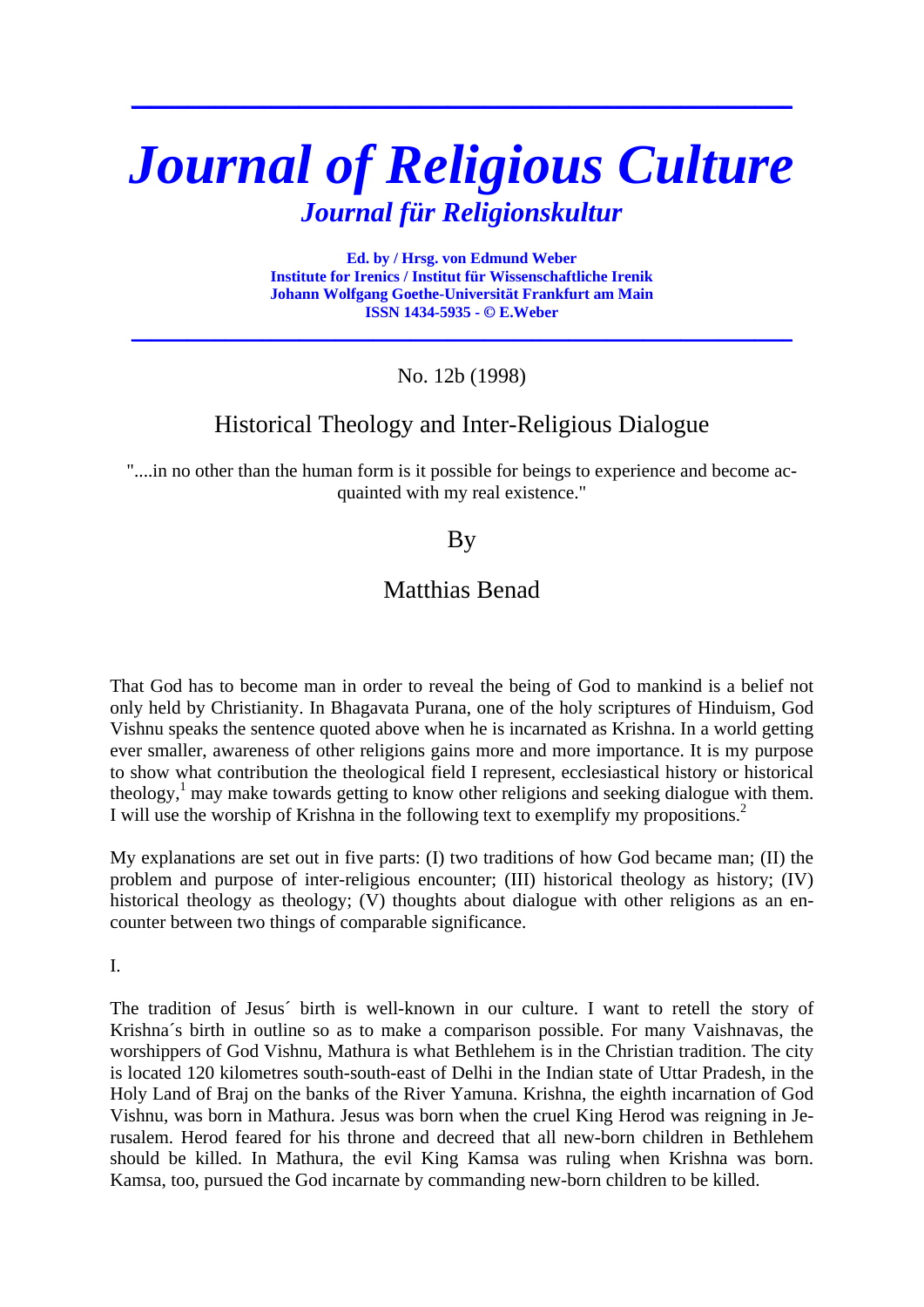# *Journal of Religious Culture Journal für Religionskultur*

**\_\_\_\_\_\_\_\_\_\_\_\_\_\_\_\_\_\_\_\_\_\_\_\_\_\_\_\_\_\_\_\_\_\_\_\_\_\_\_\_\_\_\_\_\_\_\_\_\_\_\_\_\_\_\_\_\_\_\_\_\_\_\_\_\_\_\_\_\_\_\_**

**Ed. by / Hrsg. von Edmund Weber Institute for Irenics / Institut für Wissenschaftliche Irenik Johann Wolfgang Goethe-Universität Frankfurt am Main ISSN 1434-5935 - © E.Weber** 

**\_\_\_\_\_\_\_\_\_\_\_\_\_\_\_\_\_\_\_\_\_\_\_\_\_\_\_\_\_\_\_\_\_\_\_\_\_\_\_\_\_\_\_\_\_\_\_\_\_\_\_\_\_\_\_\_\_\_\_\_\_\_\_\_\_\_\_\_\_\_\_**

No. 12b (1998)

# Historical Theology and Inter-Religious Dialogue

"....in no other than the human form is it possible for beings to experience and become acquainted with my real existence."

## **B**<sub>V</sub>

## Matthias Benad

That God has to become man in order to reveal the being of God to mankind is a belief not only held by Christianity. In Bhagavata Purana, one of the holy scriptures of Hinduism, God Vishnu speaks the sentence quoted above when he is incarnated as Krishna. In a world getting ever smaller, awareness of other religions gains more and more importance. It is my purpose to show what contribution the theological field I represent, ecclesiastical history or historical theology,<sup>1</sup> may make towards getting to know other religions and seeking dialogue with them. I will use the worship of Krishna in the following text to exemplify my propositions.<sup>2</sup>

My explanations are set out in five parts: (I) two traditions of how God became man; (II) the problem and purpose of inter-religious encounter; (III) historical theology as history; (IV) historical theology as theology; (V) thoughts about dialogue with other religions as an encounter between two things of comparable significance.

I.

The tradition of Jesus´ birth is well-known in our culture. I want to retell the story of Krishna´s birth in outline so as to make a comparison possible. For many Vaishnavas, the worshippers of God Vishnu, Mathura is what Bethlehem is in the Christian tradition. The city is located 120 kilometres south-south-east of Delhi in the Indian state of Uttar Pradesh, in the Holy Land of Braj on the banks of the River Yamuna. Krishna, the eighth incarnation of God Vishnu, was born in Mathura. Jesus was born when the cruel King Herod was reigning in Jerusalem. Herod feared for his throne and decreed that all new-born children in Bethlehem should be killed. In Mathura, the evil King Kamsa was ruling when Krishna was born. Kamsa, too, pursued the God incarnate by commanding new-born children to be killed.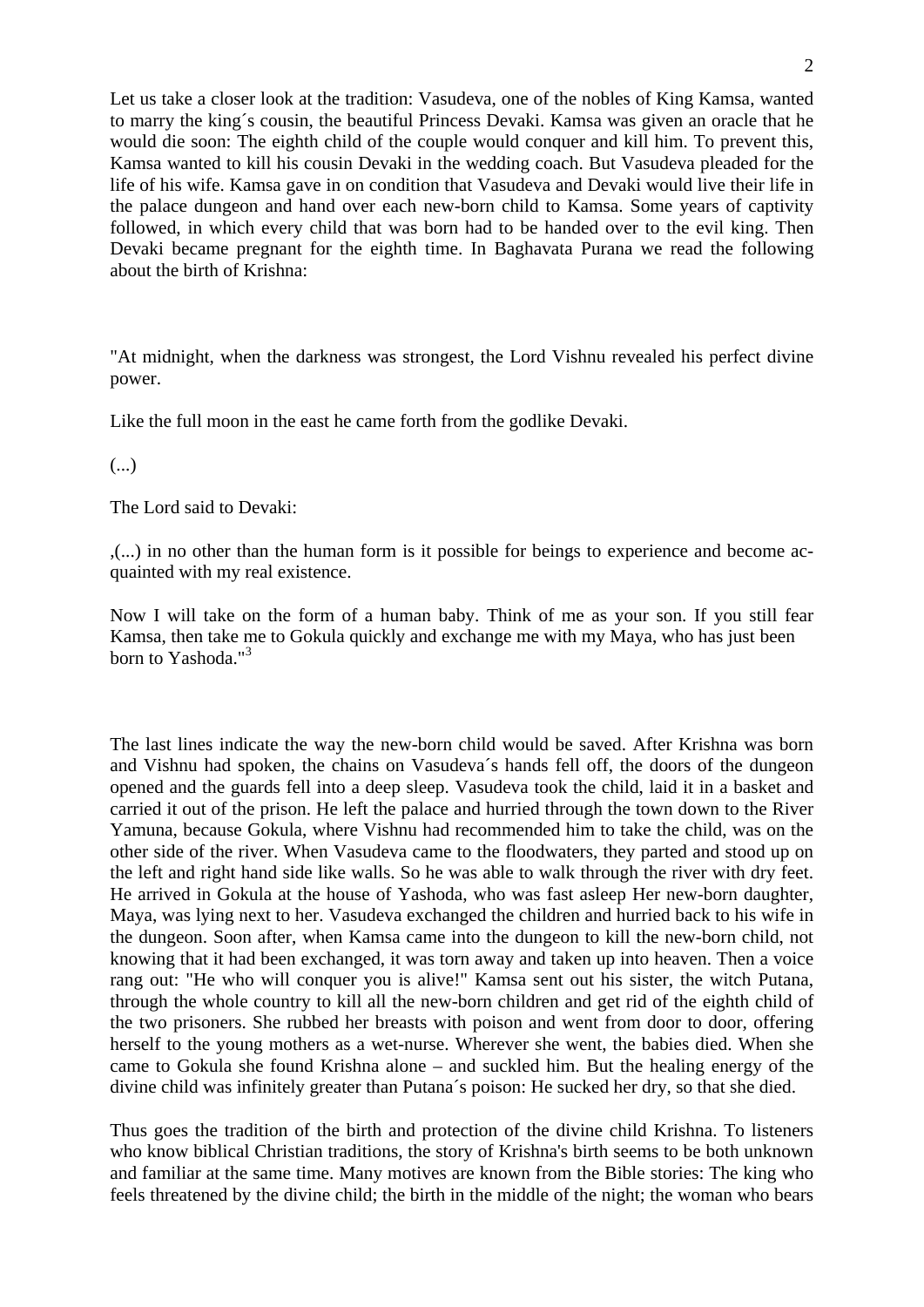Let us take a closer look at the tradition: Vasudeva, one of the nobles of King Kamsa, wanted to marry the king´s cousin, the beautiful Princess Devaki. Kamsa was given an oracle that he would die soon: The eighth child of the couple would conquer and kill him. To prevent this, Kamsa wanted to kill his cousin Devaki in the wedding coach. But Vasudeva pleaded for the life of his wife. Kamsa gave in on condition that Vasudeva and Devaki would live their life in the palace dungeon and hand over each new-born child to Kamsa. Some years of captivity followed, in which every child that was born had to be handed over to the evil king. Then Devaki became pregnant for the eighth time. In Baghavata Purana we read the following about the birth of Krishna:

"At midnight, when the darkness was strongest, the Lord Vishnu revealed his perfect divine power.

Like the full moon in the east he came forth from the godlike Devaki.

(...)

The Lord said to Devaki:

,(...) in no other than the human form is it possible for beings to experience and become acquainted with my real existence.

Now I will take on the form of a human baby. Think of me as your son. If you still fear Kamsa, then take me to Gokula quickly and exchange me with my Maya, who has just been born to Yashoda."<sup>3</sup>

The last lines indicate the way the new-born child would be saved. After Krishna was born and Vishnu had spoken, the chains on Vasudeva´s hands fell off, the doors of the dungeon opened and the guards fell into a deep sleep. Vasudeva took the child, laid it in a basket and carried it out of the prison. He left the palace and hurried through the town down to the River Yamuna, because Gokula, where Vishnu had recommended him to take the child, was on the other side of the river. When Vasudeva came to the floodwaters, they parted and stood up on the left and right hand side like walls. So he was able to walk through the river with dry feet. He arrived in Gokula at the house of Yashoda, who was fast asleep Her new-born daughter, Maya, was lying next to her. Vasudeva exchanged the children and hurried back to his wife in the dungeon. Soon after, when Kamsa came into the dungeon to kill the new-born child, not knowing that it had been exchanged, it was torn away and taken up into heaven. Then a voice rang out: "He who will conquer you is alive!" Kamsa sent out his sister, the witch Putana, through the whole country to kill all the new-born children and get rid of the eighth child of the two prisoners. She rubbed her breasts with poison and went from door to door, offering herself to the young mothers as a wet-nurse. Wherever she went, the babies died. When she came to Gokula she found Krishna alone – and suckled him. But the healing energy of the divine child was infinitely greater than Putana´s poison: He sucked her dry, so that she died.

Thus goes the tradition of the birth and protection of the divine child Krishna. To listeners who know biblical Christian traditions, the story of Krishna's birth seems to be both unknown and familiar at the same time. Many motives are known from the Bible stories: The king who feels threatened by the divine child; the birth in the middle of the night; the woman who bears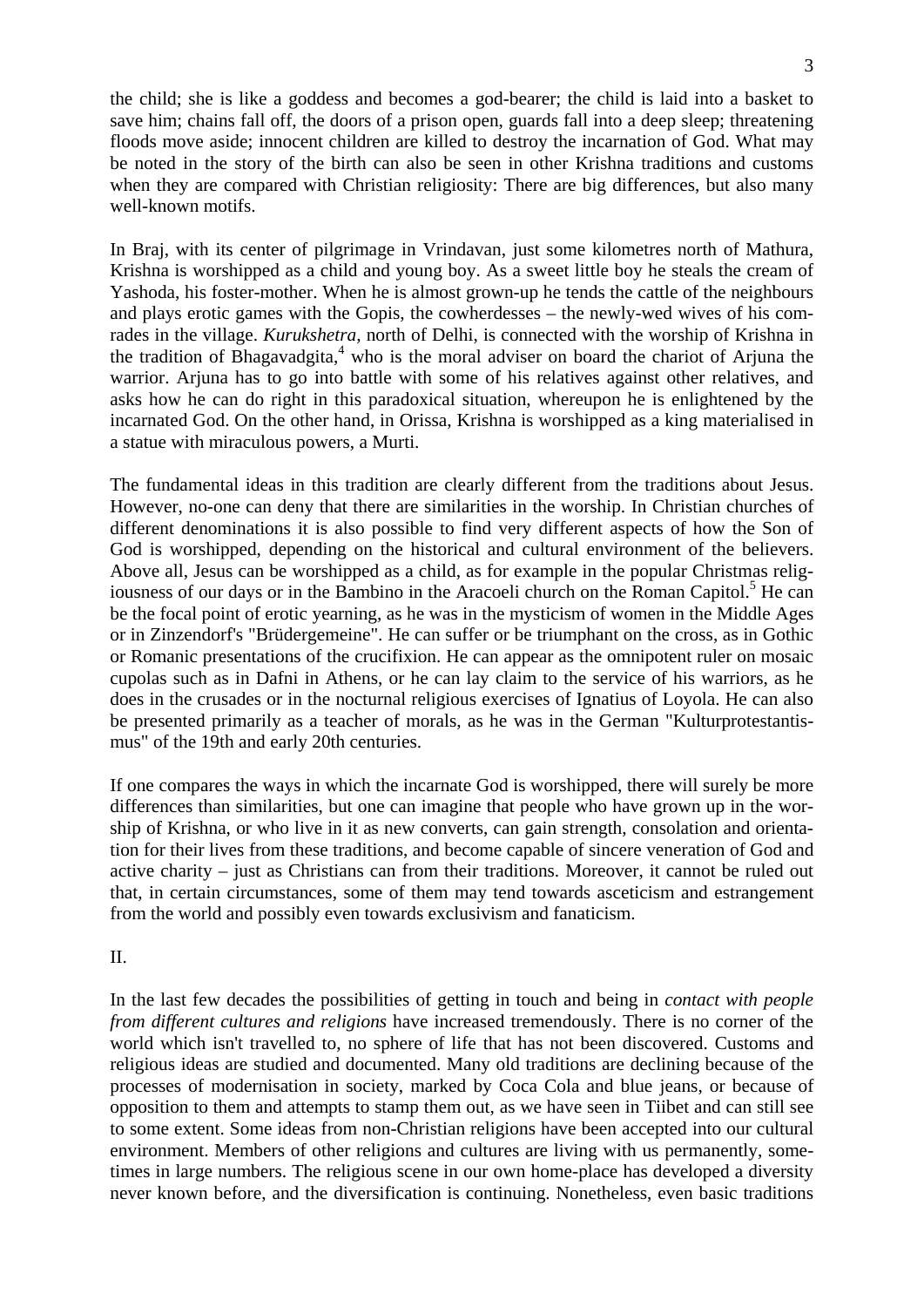the child; she is like a goddess and becomes a god-bearer; the child is laid into a basket to save him; chains fall off, the doors of a prison open, guards fall into a deep sleep; threatening floods move aside; innocent children are killed to destroy the incarnation of God. What may be noted in the story of the birth can also be seen in other Krishna traditions and customs when they are compared with Christian religiosity: There are big differences, but also many well-known motifs.

In Braj, with its center of pilgrimage in Vrindavan, just some kilometres north of Mathura, Krishna is worshipped as a child and young boy. As a sweet little boy he steals the cream of Yashoda, his foster-mother. When he is almost grown-up he tends the cattle of the neighbours and plays erotic games with the Gopis, the cowherdesses – the newly-wed wives of his comrades in the village. *Kurukshetra,* north of Delhi, is connected with the worship of Krishna in the tradition of Bhagavadgita, $4\$  who is the moral adviser on board the chariot of Arjuna the warrior. Arjuna has to go into battle with some of his relatives against other relatives, and asks how he can do right in this paradoxical situation, whereupon he is enlightened by the incarnated God. On the other hand, in Orissa, Krishna is worshipped as a king materialised in a statue with miraculous powers, a Murti.

The fundamental ideas in this tradition are clearly different from the traditions about Jesus. However, no-one can deny that there are similarities in the worship. In Christian churches of different denominations it is also possible to find very different aspects of how the Son of God is worshipped, depending on the historical and cultural environment of the believers. Above all, Jesus can be worshipped as a child, as for example in the popular Christmas religiousness of our days or in the Bambino in the Aracoeli church on the Roman Capitol.<sup>5</sup> He can be the focal point of erotic yearning, as he was in the mysticism of women in the Middle Ages or in Zinzendorf's "Brüdergemeine". He can suffer or be triumphant on the cross, as in Gothic or Romanic presentations of the crucifixion. He can appear as the omnipotent ruler on mosaic cupolas such as in Dafni in Athens, or he can lay claim to the service of his warriors, as he does in the crusades or in the nocturnal religious exercises of Ignatius of Loyola. He can also be presented primarily as a teacher of morals, as he was in the German "Kulturprotestantismus" of the 19th and early 20th centuries.

If one compares the ways in which the incarnate God is worshipped, there will surely be more differences than similarities, but one can imagine that people who have grown up in the worship of Krishna, or who live in it as new converts, can gain strength, consolation and orientation for their lives from these traditions, and become capable of sincere veneration of God and active charity – just as Christians can from their traditions. Moreover, it cannot be ruled out that, in certain circumstances, some of them may tend towards asceticism and estrangement from the world and possibly even towards exclusivism and fanaticism.

#### II.

In the last few decades the possibilities of getting in touch and being in *contact with people from different cultures and religions* have increased tremendously. There is no corner of the world which isn't travelled to, no sphere of life that has not been discovered. Customs and religious ideas are studied and documented. Many old traditions are declining because of the processes of modernisation in society, marked by Coca Cola and blue jeans, or because of opposition to them and attempts to stamp them out, as we have seen in Tiibet and can still see to some extent. Some ideas from non-Christian religions have been accepted into our cultural environment. Members of other religions and cultures are living with us permanently, sometimes in large numbers. The religious scene in our own home-place has developed a diversity never known before, and the diversification is continuing. Nonetheless, even basic traditions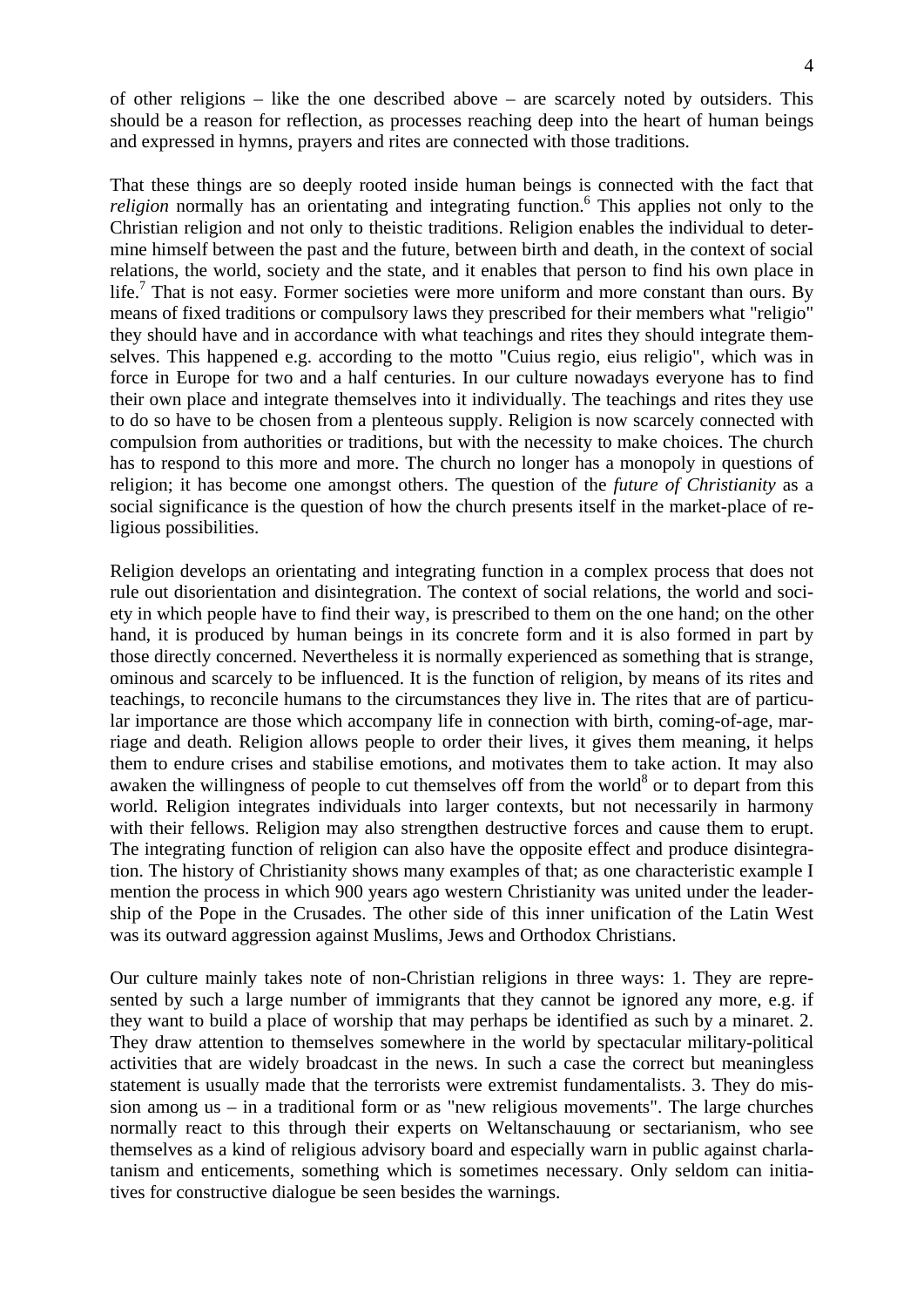of other religions – like the one described above – are scarcely noted by outsiders. This should be a reason for reflection, as processes reaching deep into the heart of human beings and expressed in hymns, prayers and rites are connected with those traditions.

That these things are so deeply rooted inside human beings is connected with the fact that religion normally has an orientating and integrating function.<sup>6</sup> This applies not only to the Christian religion and not only to theistic traditions. Religion enables the individual to determine himself between the past and the future, between birth and death, in the context of social relations, the world, society and the state, and it enables that person to find his own place in life.<sup>7</sup> That is not easy. Former societies were more uniform and more constant than ours. By means of fixed traditions or compulsory laws they prescribed for their members what "religio" they should have and in accordance with what teachings and rites they should integrate themselves. This happened e.g. according to the motto "Cuius regio, eius religio", which was in force in Europe for two and a half centuries. In our culture nowadays everyone has to find their own place and integrate themselves into it individually. The teachings and rites they use to do so have to be chosen from a plenteous supply. Religion is now scarcely connected with compulsion from authorities or traditions, but with the necessity to make choices. The church has to respond to this more and more. The church no longer has a monopoly in questions of religion; it has become one amongst others. The question of the *future of Christianity* as a social significance is the question of how the church presents itself in the market-place of religious possibilities.

Religion develops an orientating and integrating function in a complex process that does not rule out disorientation and disintegration. The context of social relations, the world and society in which people have to find their way, is prescribed to them on the one hand; on the other hand, it is produced by human beings in its concrete form and it is also formed in part by those directly concerned. Nevertheless it is normally experienced as something that is strange, ominous and scarcely to be influenced. It is the function of religion, by means of its rites and teachings, to reconcile humans to the circumstances they live in. The rites that are of particular importance are those which accompany life in connection with birth, coming-of-age, marriage and death. Religion allows people to order their lives, it gives them meaning, it helps them to endure crises and stabilise emotions, and motivates them to take action. It may also awaken the willingness of people to cut themselves off from the world<sup>8</sup> or to depart from this world. Religion integrates individuals into larger contexts, but not necessarily in harmony with their fellows. Religion may also strengthen destructive forces and cause them to erupt. The integrating function of religion can also have the opposite effect and produce disintegration. The history of Christianity shows many examples of that; as one characteristic example I mention the process in which 900 years ago western Christianity was united under the leadership of the Pope in the Crusades. The other side of this inner unification of the Latin West was its outward aggression against Muslims, Jews and Orthodox Christians.

Our culture mainly takes note of non-Christian religions in three ways: 1. They are represented by such a large number of immigrants that they cannot be ignored any more, e.g. if they want to build a place of worship that may perhaps be identified as such by a minaret. 2. They draw attention to themselves somewhere in the world by spectacular military-political activities that are widely broadcast in the news. In such a case the correct but meaningless statement is usually made that the terrorists were extremist fundamentalists. 3. They do mission among us – in a traditional form or as "new religious movements". The large churches normally react to this through their experts on Weltanschauung or sectarianism, who see themselves as a kind of religious advisory board and especially warn in public against charlatanism and enticements, something which is sometimes necessary. Only seldom can initiatives for constructive dialogue be seen besides the warnings.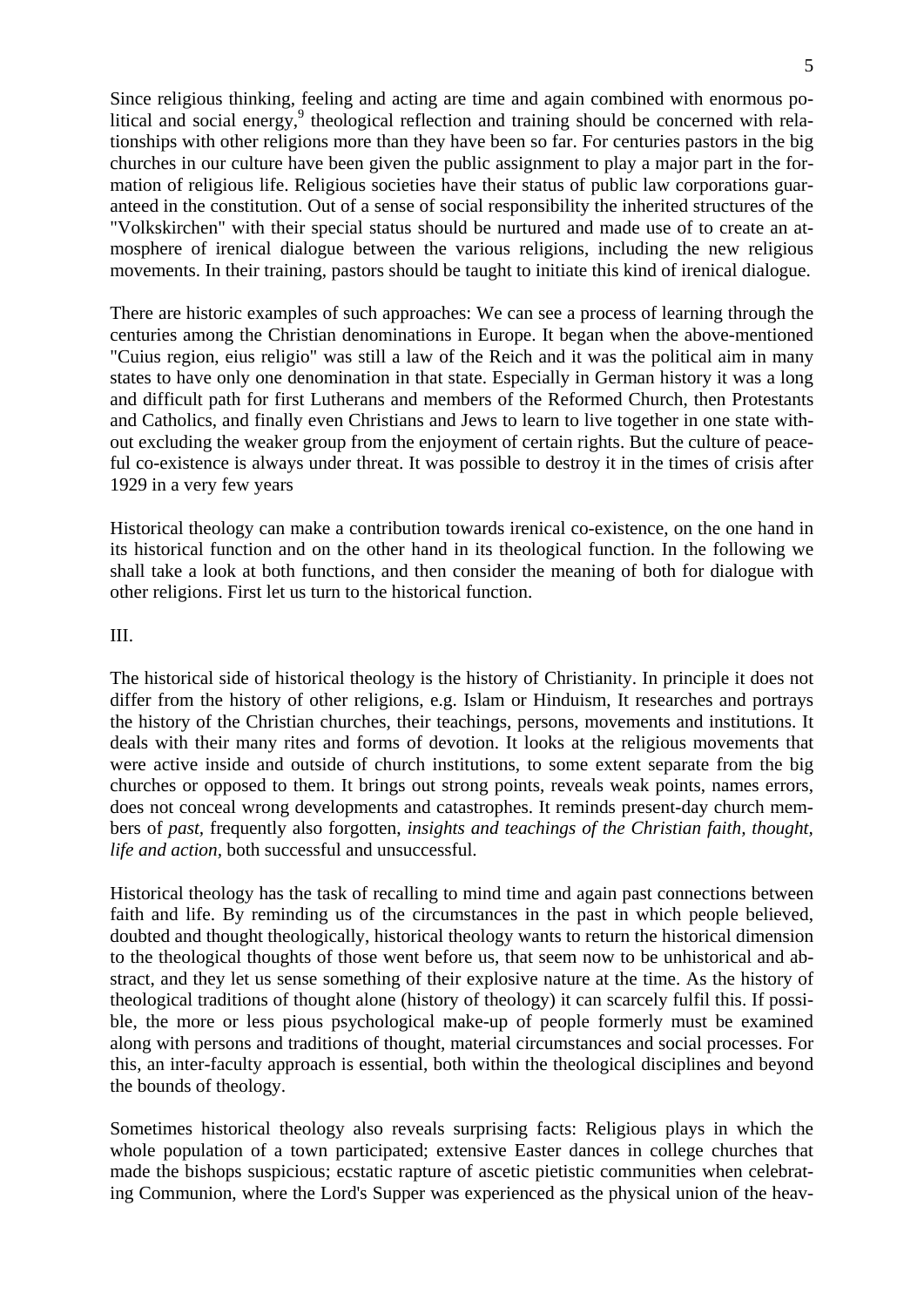Since religious thinking, feeling and acting are time and again combined with enormous political and social energy,<sup>9</sup> theological reflection and training should be concerned with relationships with other religions more than they have been so far. For centuries pastors in the big churches in our culture have been given the public assignment to play a major part in the formation of religious life. Religious societies have their status of public law corporations guaranteed in the constitution. Out of a sense of social responsibility the inherited structures of the "Volkskirchen" with their special status should be nurtured and made use of to create an atmosphere of irenical dialogue between the various religions, including the new religious movements. In their training, pastors should be taught to initiate this kind of irenical dialogue.

There are historic examples of such approaches: We can see a process of learning through the centuries among the Christian denominations in Europe. It began when the above-mentioned "Cuius region, eius religio" was still a law of the Reich and it was the political aim in many states to have only one denomination in that state. Especially in German history it was a long and difficult path for first Lutherans and members of the Reformed Church, then Protestants and Catholics, and finally even Christians and Jews to learn to live together in one state without excluding the weaker group from the enjoyment of certain rights. But the culture of peaceful co-existence is always under threat. It was possible to destroy it in the times of crisis after 1929 in a very few years

Historical theology can make a contribution towards irenical co-existence, on the one hand in its historical function and on the other hand in its theological function. In the following we shall take a look at both functions, and then consider the meaning of both for dialogue with other religions. First let us turn to the historical function.

#### III.

The historical side of historical theology is the history of Christianity. In principle it does not differ from the history of other religions, e.g. Islam or Hinduism, It researches and portrays the history of the Christian churches, their teachings, persons, movements and institutions. It deals with their many rites and forms of devotion. It looks at the religious movements that were active inside and outside of church institutions, to some extent separate from the big churches or opposed to them. It brings out strong points, reveals weak points, names errors, does not conceal wrong developments and catastrophes. It reminds present-day church members of *past,* frequently also forgotten, *insights and teachings of the Christian faith, thought, life and action,* both successful and unsuccessful.

Historical theology has the task of recalling to mind time and again past connections between faith and life. By reminding us of the circumstances in the past in which people believed, doubted and thought theologically, historical theology wants to return the historical dimension to the theological thoughts of those went before us, that seem now to be unhistorical and abstract, and they let us sense something of their explosive nature at the time. As the history of theological traditions of thought alone (history of theology) it can scarcely fulfil this. If possible, the more or less pious psychological make-up of people formerly must be examined along with persons and traditions of thought, material circumstances and social processes. For this, an inter-faculty approach is essential, both within the theological disciplines and beyond the bounds of theology.

Sometimes historical theology also reveals surprising facts: Religious plays in which the whole population of a town participated; extensive Easter dances in college churches that made the bishops suspicious; ecstatic rapture of ascetic pietistic communities when celebrating Communion, where the Lord's Supper was experienced as the physical union of the heav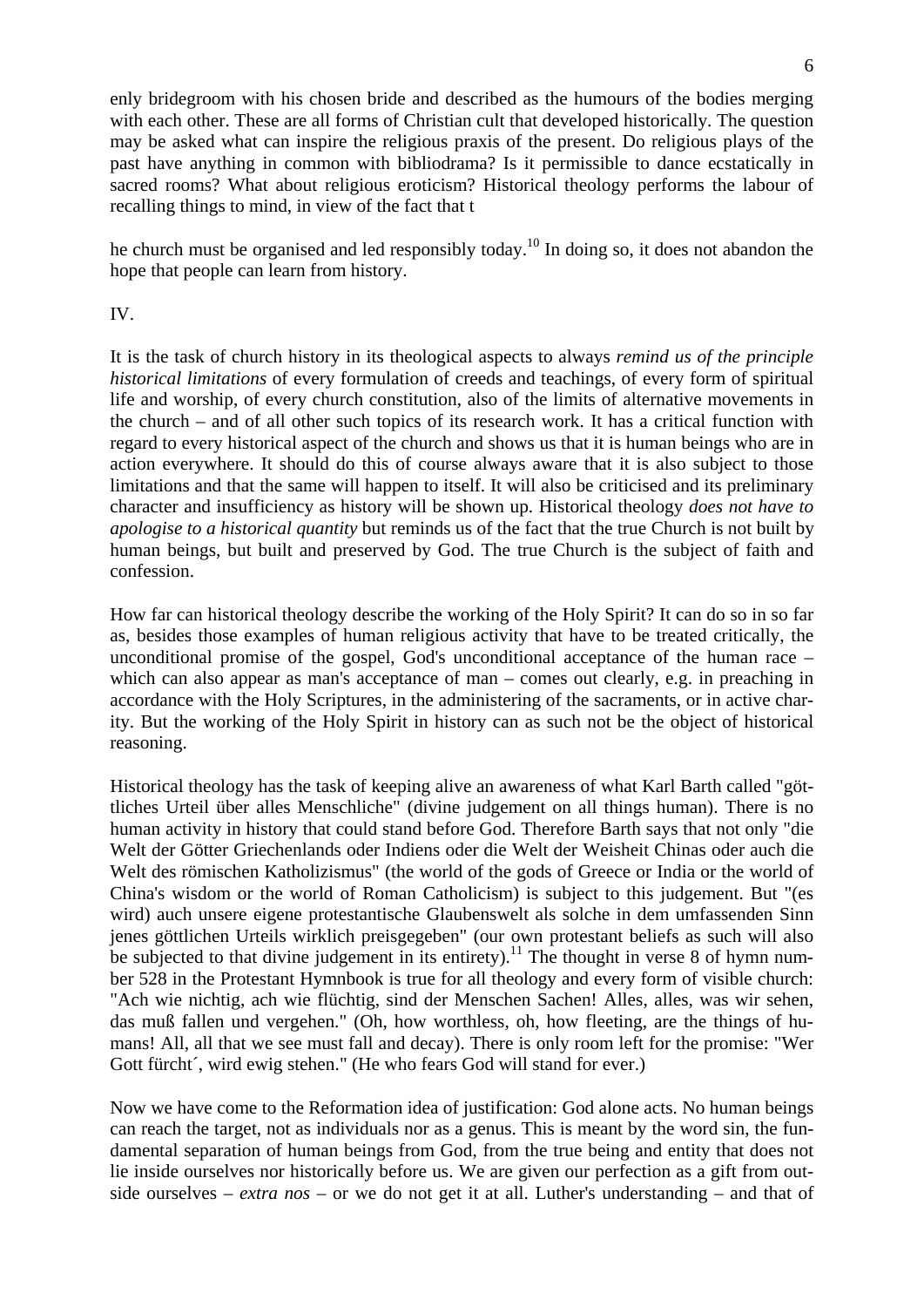enly bridegroom with his chosen bride and described as the humours of the bodies merging with each other. These are all forms of Christian cult that developed historically. The question may be asked what can inspire the religious praxis of the present. Do religious plays of the past have anything in common with bibliodrama? Is it permissible to dance ecstatically in sacred rooms? What about religious eroticism? Historical theology performs the labour of recalling things to mind, in view of the fact that t

he church must be organised and led responsibly today.<sup>10</sup> In doing so, it does not abandon the hope that people can learn from history.

IV.

It is the task of church history in its theological aspects to always *remind us of the principle historical limitations* of every formulation of creeds and teachings, of every form of spiritual life and worship, of every church constitution, also of the limits of alternative movements in the church – and of all other such topics of its research work. It has a critical function with regard to every historical aspect of the church and shows us that it is human beings who are in action everywhere. It should do this of course always aware that it is also subject to those limitations and that the same will happen to itself. It will also be criticised and its preliminary character and insufficiency as history will be shown up. Historical theology *does not have to apologise to a historical quantity* but reminds us of the fact that the true Church is not built by human beings, but built and preserved by God. The true Church is the subject of faith and confession.

How far can historical theology describe the working of the Holy Spirit? It can do so in so far as, besides those examples of human religious activity that have to be treated critically, the unconditional promise of the gospel, God's unconditional acceptance of the human race – which can also appear as man's acceptance of man – comes out clearly, e.g. in preaching in accordance with the Holy Scriptures, in the administering of the sacraments, or in active charity. But the working of the Holy Spirit in history can as such not be the object of historical reasoning.

Historical theology has the task of keeping alive an awareness of what Karl Barth called "göttliches Urteil über alles Menschliche" (divine judgement on all things human). There is no human activity in history that could stand before God. Therefore Barth says that not only "die Welt der Götter Griechenlands oder Indiens oder die Welt der Weisheit Chinas oder auch die Welt des römischen Katholizismus" (the world of the gods of Greece or India or the world of China's wisdom or the world of Roman Catholicism) is subject to this judgement. But "(es wird) auch unsere eigene protestantische Glaubenswelt als solche in dem umfassenden Sinn jenes göttlichen Urteils wirklich preisgegeben" (our own protestant beliefs as such will also be subjected to that divine judgement in its entirety).<sup>11</sup> The thought in verse 8 of hymn number 528 in the Protestant Hymnbook is true for all theology and every form of visible church: "Ach wie nichtig, ach wie flüchtig, sind der Menschen Sachen! Alles, alles, was wir sehen, das muß fallen und vergehen." (Oh, how worthless, oh, how fleeting, are the things of humans! All, all that we see must fall and decay). There is only room left for the promise: "Wer Gott fürcht´, wird ewig stehen." (He who fears God will stand for ever.)

Now we have come to the Reformation idea of justification: God alone acts. No human beings can reach the target, not as individuals nor as a genus. This is meant by the word sin, the fundamental separation of human beings from God, from the true being and entity that does not lie inside ourselves nor historically before us. We are given our perfection as a gift from outside ourselves – *extra nos* – or we do not get it at all. Luther's understanding – and that of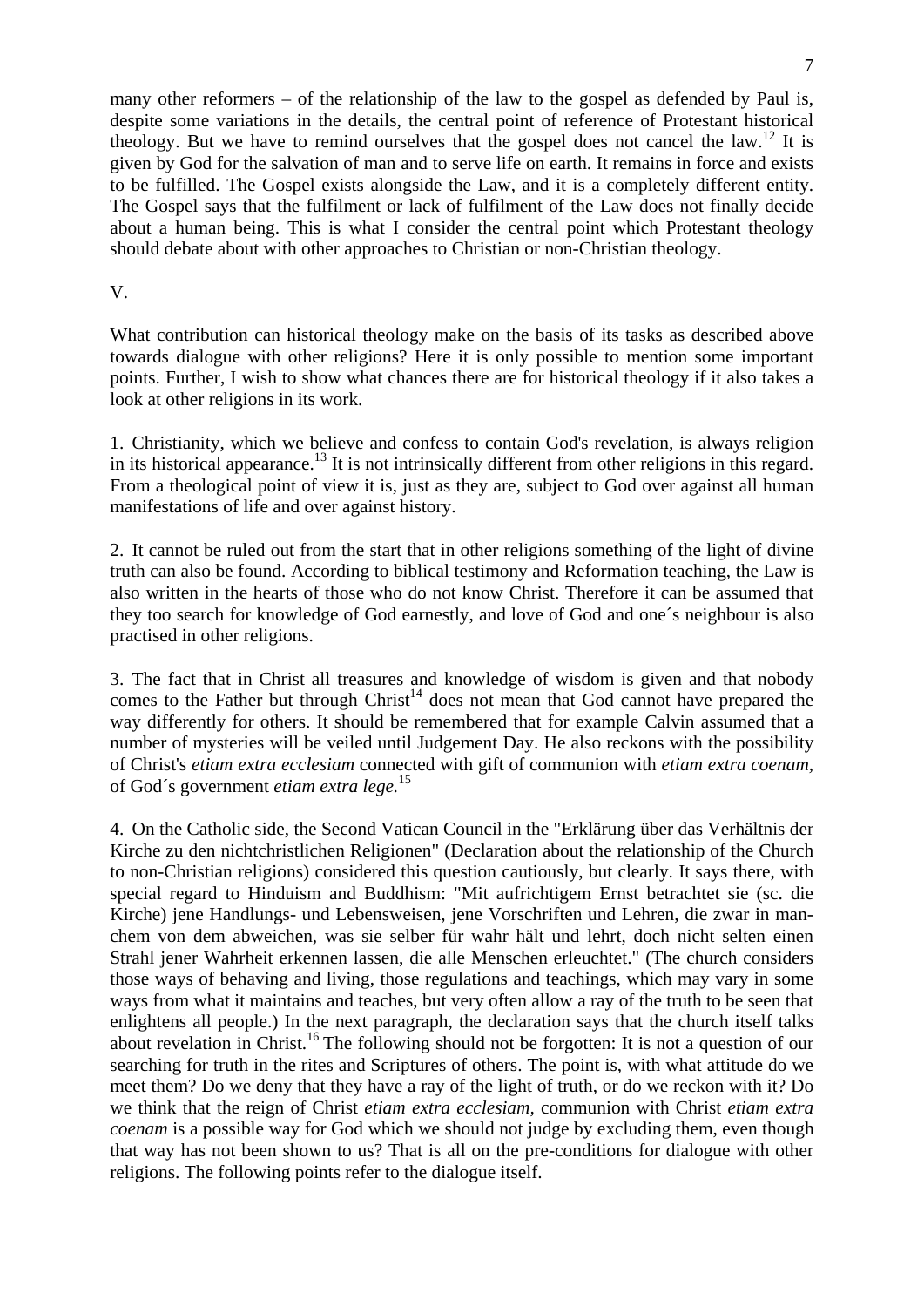many other reformers – of the relationship of the law to the gospel as defended by Paul is, despite some variations in the details, the central point of reference of Protestant historical theology. But we have to remind ourselves that the gospel does not cancel the law.<sup>12</sup> It is given by God for the salvation of man and to serve life on earth. It remains in force and exists to be fulfilled. The Gospel exists alongside the Law, and it is a completely different entity. The Gospel says that the fulfilment or lack of fulfilment of the Law does not finally decide about a human being. This is what I consider the central point which Protestant theology should debate about with other approaches to Christian or non-Christian theology.

### V.

What contribution can historical theology make on the basis of its tasks as described above towards dialogue with other religions? Here it is only possible to mention some important points. Further, I wish to show what chances there are for historical theology if it also takes a look at other religions in its work.

1. Christianity, which we believe and confess to contain God's revelation, is always religion in its historical appearance.<sup>13</sup> It is not intrinsically different from other religions in this regard. From a theological point of view it is, just as they are, subject to God over against all human manifestations of life and over against history.

2. It cannot be ruled out from the start that in other religions something of the light of divine truth can also be found. According to biblical testimony and Reformation teaching, the Law is also written in the hearts of those who do not know Christ. Therefore it can be assumed that they too search for knowledge of God earnestly, and love of God and one´s neighbour is also practised in other religions.

3. The fact that in Christ all treasures and knowledge of wisdom is given and that nobody comes to the Father but through  $Christ<sup>14</sup>$  does not mean that God cannot have prepared the way differently for others. It should be remembered that for example Calvin assumed that a number of mysteries will be veiled until Judgement Day. He also reckons with the possibility of Christ's *etiam extra ecclesiam* connected with gift of communion with *etiam extra coenam,* of God´s government *etiam extra lege.*<sup>15</sup>

4. On the Catholic side, the Second Vatican Council in the "Erklärung über das Verhältnis der Kirche zu den nichtchristlichen Religionen" (Declaration about the relationship of the Church to non-Christian religions) considered this question cautiously, but clearly. It says there, with special regard to Hinduism and Buddhism: "Mit aufrichtigem Ernst betrachtet sie (sc. die Kirche) jene Handlungs- und Lebensweisen, jene Vorschriften und Lehren, die zwar in manchem von dem abweichen, was sie selber für wahr hält und lehrt, doch nicht selten einen Strahl jener Wahrheit erkennen lassen, die alle Menschen erleuchtet." (The church considers those ways of behaving and living, those regulations and teachings, which may vary in some ways from what it maintains and teaches, but very often allow a ray of the truth to be seen that enlightens all people.) In the next paragraph, the declaration says that the church itself talks about revelation in Christ.<sup>16</sup> The following should not be forgotten: It is not a question of our searching for truth in the rites and Scriptures of others. The point is, with what attitude do we meet them? Do we deny that they have a ray of the light of truth, or do we reckon with it? Do we think that the reign of Christ *etiam extra ecclesiam,* communion with Christ *etiam extra coenam* is a possible way for God which we should not judge by excluding them, even though that way has not been shown to us? That is all on the pre-conditions for dialogue with other religions. The following points refer to the dialogue itself.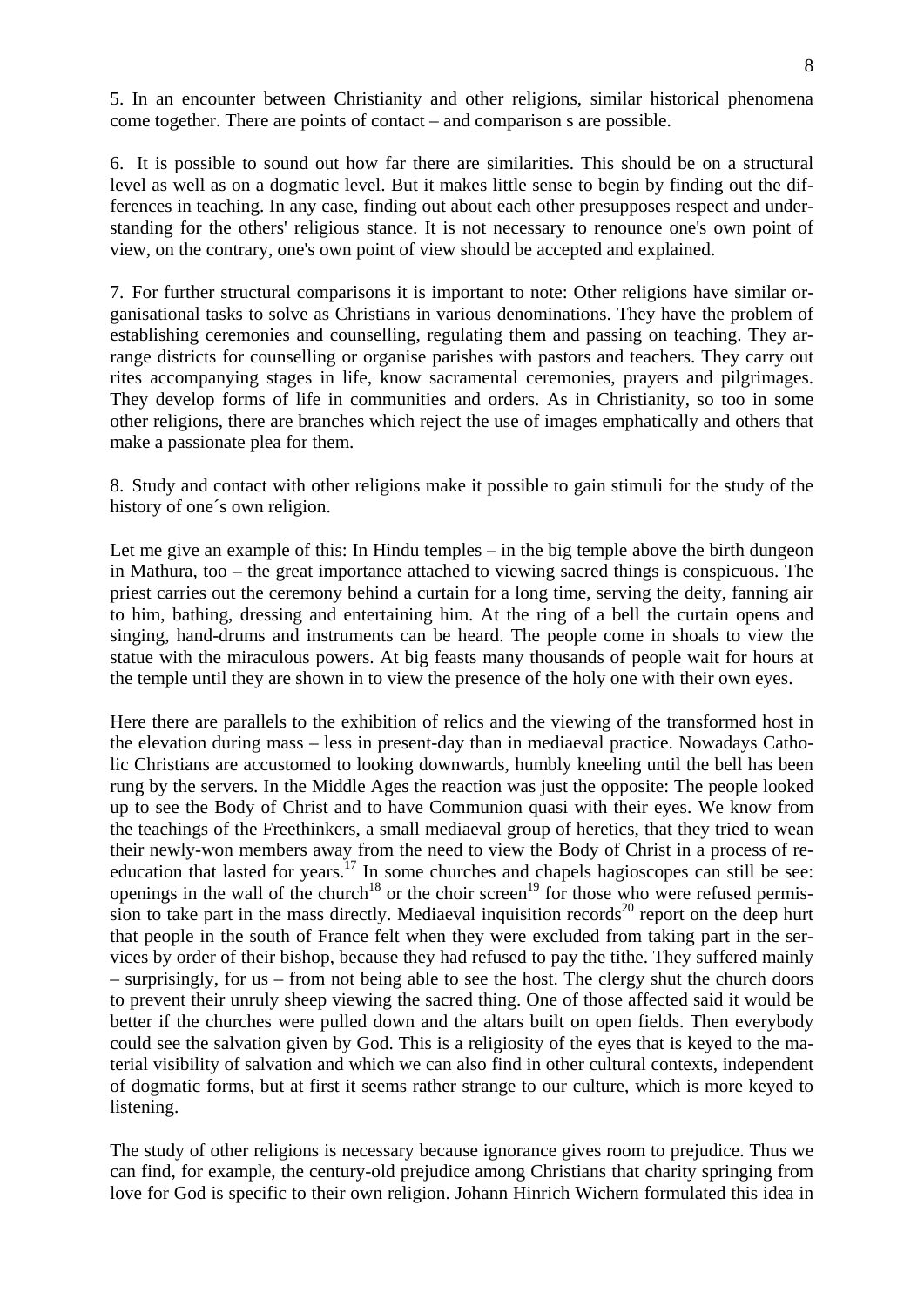5. In an encounter between Christianity and other religions, similar historical phenomena come together. There are points of contact – and comparison s are possible.

6. It is possible to sound out how far there are similarities. This should be on a structural level as well as on a dogmatic level. But it makes little sense to begin by finding out the differences in teaching. In any case, finding out about each other presupposes respect and understanding for the others' religious stance. It is not necessary to renounce one's own point of view, on the contrary, one's own point of view should be accepted and explained.

7. For further structural comparisons it is important to note: Other religions have similar organisational tasks to solve as Christians in various denominations. They have the problem of establishing ceremonies and counselling, regulating them and passing on teaching. They arrange districts for counselling or organise parishes with pastors and teachers. They carry out rites accompanying stages in life, know sacramental ceremonies, prayers and pilgrimages. They develop forms of life in communities and orders. As in Christianity, so too in some other religions, there are branches which reject the use of images emphatically and others that make a passionate plea for them.

8. Study and contact with other religions make it possible to gain stimuli for the study of the history of one´s own religion.

Let me give an example of this: In Hindu temples – in the big temple above the birth dungeon in Mathura, too – the great importance attached to viewing sacred things is conspicuous. The priest carries out the ceremony behind a curtain for a long time, serving the deity, fanning air to him, bathing, dressing and entertaining him. At the ring of a bell the curtain opens and singing, hand-drums and instruments can be heard. The people come in shoals to view the statue with the miraculous powers. At big feasts many thousands of people wait for hours at the temple until they are shown in to view the presence of the holy one with their own eyes.

Here there are parallels to the exhibition of relics and the viewing of the transformed host in the elevation during mass – less in present-day than in mediaeval practice. Nowadays Catholic Christians are accustomed to looking downwards, humbly kneeling until the bell has been rung by the servers. In the Middle Ages the reaction was just the opposite: The people looked up to see the Body of Christ and to have Communion quasi with their eyes. We know from the teachings of the Freethinkers, a small mediaeval group of heretics, that they tried to wean their newly-won members away from the need to view the Body of Christ in a process of reeducation that lasted for years.<sup>17</sup> In some churches and chapels hagioscopes can still be see: openings in the wall of the church<sup>18</sup> or the choir screen<sup>19</sup> for those who were refused permission to take part in the mass directly. Mediaeval inquisition records<sup>20</sup> report on the deep hurt that people in the south of France felt when they were excluded from taking part in the services by order of their bishop, because they had refused to pay the tithe. They suffered mainly – surprisingly, for us – from not being able to see the host. The clergy shut the church doors to prevent their unruly sheep viewing the sacred thing. One of those affected said it would be better if the churches were pulled down and the altars built on open fields. Then everybody could see the salvation given by God. This is a religiosity of the eyes that is keyed to the material visibility of salvation and which we can also find in other cultural contexts, independent of dogmatic forms, but at first it seems rather strange to our culture, which is more keyed to listening.

The study of other religions is necessary because ignorance gives room to prejudice. Thus we can find, for example, the century-old prejudice among Christians that charity springing from love for God is specific to their own religion. Johann Hinrich Wichern formulated this idea in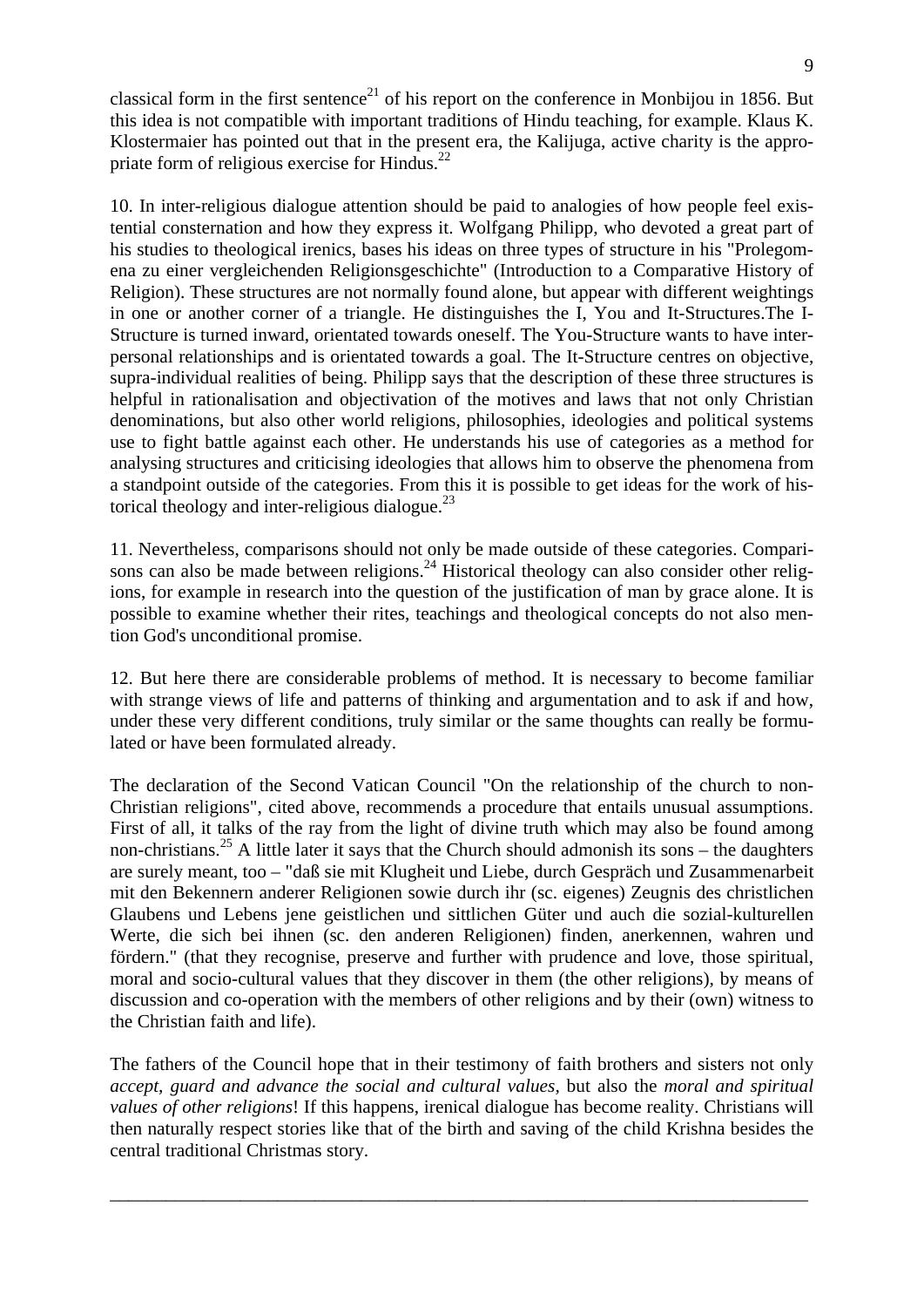classical form in the first sentence<sup>21</sup> of his report on the conference in Monbijou in 1856. But this idea is not compatible with important traditions of Hindu teaching, for example. Klaus K. Klostermaier has pointed out that in the present era, the Kalijuga, active charity is the appropriate form of religious exercise for Hindus. $^{22}$ 

10. In inter-religious dialogue attention should be paid to analogies of how people feel existential consternation and how they express it. Wolfgang Philipp, who devoted a great part of his studies to theological irenics, bases his ideas on three types of structure in his "Prolegomena zu einer vergleichenden Religionsgeschichte" (Introduction to a Comparative History of Religion). These structures are not normally found alone, but appear with different weightings in one or another corner of a triangle. He distinguishes the I, You and It-Structures.The I-Structure is turned inward, orientated towards oneself. The You-Structure wants to have interpersonal relationships and is orientated towards a goal. The It-Structure centres on objective, supra-individual realities of being. Philipp says that the description of these three structures is helpful in rationalisation and objectivation of the motives and laws that not only Christian denominations, but also other world religions, philosophies, ideologies and political systems use to fight battle against each other. He understands his use of categories as a method for analysing structures and criticising ideologies that allows him to observe the phenomena from a standpoint outside of the categories. From this it is possible to get ideas for the work of historical theology and inter-religious dialogue. $^{23}$ 

11. Nevertheless, comparisons should not only be made outside of these categories. Comparisons can also be made between religions.<sup>24</sup> Historical theology can also consider other religions, for example in research into the question of the justification of man by grace alone. It is possible to examine whether their rites, teachings and theological concepts do not also mention God's unconditional promise.

12. But here there are considerable problems of method. It is necessary to become familiar with strange views of life and patterns of thinking and argumentation and to ask if and how, under these very different conditions, truly similar or the same thoughts can really be formulated or have been formulated already.

The declaration of the Second Vatican Council "On the relationship of the church to non-Christian religions", cited above, recommends a procedure that entails unusual assumptions. First of all, it talks of the ray from the light of divine truth which may also be found among non-christians.<sup>25</sup> A little later it says that the Church should admonish its sons – the daughters are surely meant, too – "daß sie mit Klugheit und Liebe, durch Gespräch und Zusammenarbeit mit den Bekennern anderer Religionen sowie durch ihr (sc. eigenes) Zeugnis des christlichen Glaubens und Lebens jene geistlichen und sittlichen Güter und auch die sozial-kulturellen Werte, die sich bei ihnen (sc. den anderen Religionen) finden, anerkennen, wahren und fördern." (that they recognise, preserve and further with prudence and love, those spiritual, moral and socio-cultural values that they discover in them (the other religions), by means of discussion and co-operation with the members of other religions and by their (own) witness to the Christian faith and life).

The fathers of the Council hope that in their testimony of faith brothers and sisters not only *accept, guard and advance the social and cultural values,* but also the *moral and spiritual values of other religions*! If this happens, irenical dialogue has become reality. Christians will then naturally respect stories like that of the birth and saving of the child Krishna besides the central traditional Christmas story.

\_\_\_\_\_\_\_\_\_\_\_\_\_\_\_\_\_\_\_\_\_\_\_\_\_\_\_\_\_\_\_\_\_\_\_\_\_\_\_\_\_\_\_\_\_\_\_\_\_\_\_\_\_\_\_\_\_\_\_\_\_\_\_\_\_\_\_\_\_\_\_\_\_\_\_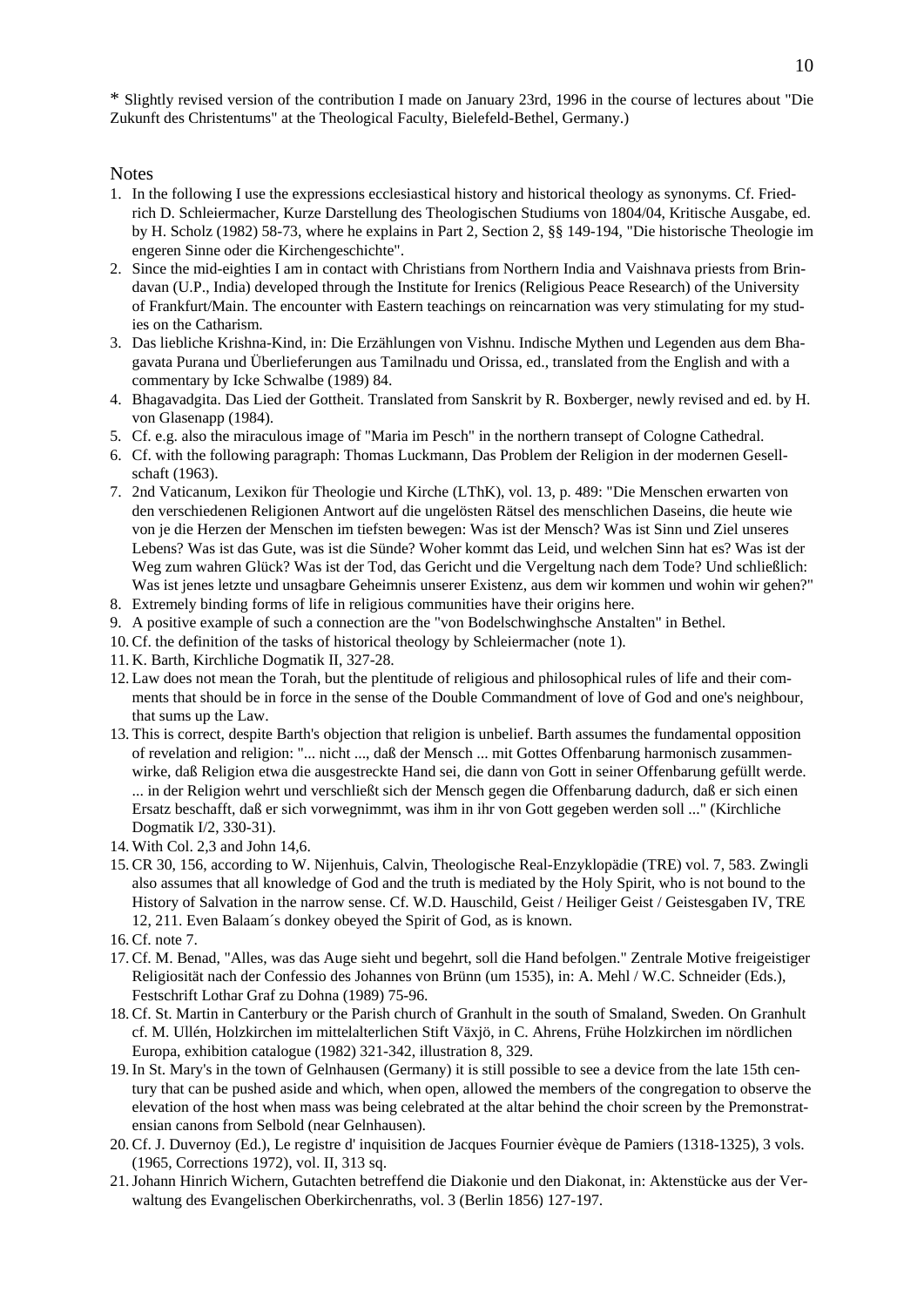\* Slightly revised version of the contribution I made on January 23rd, 1996 in the course of lectures about "Die Zukunft des Christentums" at the Theological Faculty, Bielefeld-Bethel, Germany.)

#### Notes

- 1. In the following I use the expressions ecclesiastical history and historical theology as synonyms. Cf. Friedrich D. Schleiermacher, Kurze Darstellung des Theologischen Studiums von 1804/04, Kritische Ausgabe, ed. by H. Scholz (1982) 58-73, where he explains in Part 2, Section 2, §§ 149-194, "Die historische Theologie im engeren Sinne oder die Kirchengeschichte".
- 2. Since the mid-eighties I am in contact with Christians from Northern India and Vaishnava priests from Brindavan (U.P., India) developed through the Institute for Irenics (Religious Peace Research) of the University of Frankfurt/Main. The encounter with Eastern teachings on reincarnation was very stimulating for my studies on the Catharism.
- 3. Das liebliche Krishna-Kind, in: Die Erzählungen von Vishnu. Indische Mythen und Legenden aus dem Bhagavata Purana und Überlieferungen aus Tamilnadu und Orissa, ed., translated from the English and with a commentary by Icke Schwalbe (1989) 84.
- 4. Bhagavadgita. Das Lied der Gottheit. Translated from Sanskrit by R. Boxberger, newly revised and ed. by H. von Glasenapp (1984).
- 5. Cf. e.g. also the miraculous image of "Maria im Pesch" in the northern transept of Cologne Cathedral.
- 6. Cf. with the following paragraph: Thomas Luckmann, Das Problem der Religion in der modernen Gesellschaft (1963).
- 7. 2nd Vaticanum, Lexikon für Theologie und Kirche (LThK), vol. 13, p. 489: "Die Menschen erwarten von den verschiedenen Religionen Antwort auf die ungelösten Rätsel des menschlichen Daseins, die heute wie von je die Herzen der Menschen im tiefsten bewegen: Was ist der Mensch? Was ist Sinn und Ziel unseres Lebens? Was ist das Gute, was ist die Sünde? Woher kommt das Leid, und welchen Sinn hat es? Was ist der Weg zum wahren Glück? Was ist der Tod, das Gericht und die Vergeltung nach dem Tode? Und schließlich: Was ist jenes letzte und unsagbare Geheimnis unserer Existenz, aus dem wir kommen und wohin wir gehen?"
- 8. Extremely binding forms of life in religious communities have their origins here.
- 9. A positive example of such a connection are the "von Bodelschwinghsche Anstalten" in Bethel.
- 10. Cf. the definition of the tasks of historical theology by Schleiermacher (note 1).
- 11. K. Barth, Kirchliche Dogmatik II, 327-28.
- 12. Law does not mean the Torah, but the plentitude of religious and philosophical rules of life and their comments that should be in force in the sense of the Double Commandment of love of God and one's neighbour, that sums up the Law.
- 13. This is correct, despite Barth's objection that religion is unbelief. Barth assumes the fundamental opposition of revelation and religion: "... nicht ..., daß der Mensch ... mit Gottes Offenbarung harmonisch zusammenwirke, daß Religion etwa die ausgestreckte Hand sei, die dann von Gott in seiner Offenbarung gefüllt werde. ... in der Religion wehrt und verschließt sich der Mensch gegen die Offenbarung dadurch, daß er sich einen Ersatz beschafft, daß er sich vorwegnimmt, was ihm in ihr von Gott gegeben werden soll ..." (Kirchliche Dogmatik I/2, 330-31).
- 14. With Col. 2,3 and John 14,6.
- 15. CR 30, 156, according to W. Nijenhuis, Calvin, Theologische Real-Enzyklopädie (TRE) vol. 7, 583. Zwingli also assumes that all knowledge of God and the truth is mediated by the Holy Spirit, who is not bound to the History of Salvation in the narrow sense. Cf. W.D. Hauschild, Geist / Heiliger Geist / Geistesgaben IV, TRE 12, 211. Even Balaam´s donkey obeyed the Spirit of God, as is known.
- 16. Cf. note 7.
- 17. Cf. M. Benad, "Alles, was das Auge sieht und begehrt, soll die Hand befolgen." Zentrale Motive freigeistiger Religiosität nach der Confessio des Johannes von Brünn (um 1535), in: A. Mehl / W.C. Schneider (Eds.), Festschrift Lothar Graf zu Dohna (1989) 75-96.
- 18. Cf. St. Martin in Canterbury or the Parish church of Granhult in the south of Smaland, Sweden. On Granhult cf. M. Ullén, Holzkirchen im mittelalterlichen Stift Växjö, in C. Ahrens, Frühe Holzkirchen im nördlichen Europa, exhibition catalogue (1982) 321-342, illustration 8, 329.
- 19. In St. Mary's in the town of Gelnhausen (Germany) it is still possible to see a device from the late 15th century that can be pushed aside and which, when open, allowed the members of the congregation to observe the elevation of the host when mass was being celebrated at the altar behind the choir screen by the Premonstratensian canons from Selbold (near Gelnhausen).
- 20. Cf. J. Duvernoy (Ed.), Le registre d' inquisition de Jacques Fournier évèque de Pamiers (1318-1325), 3 vols. (1965, Corrections 1972), vol. II, 313 sq.
- 21. Johann Hinrich Wichern, Gutachten betreffend die Diakonie und den Diakonat, in: Aktenstücke aus der Verwaltung des Evangelischen Oberkirchenraths, vol. 3 (Berlin 1856) 127-197.